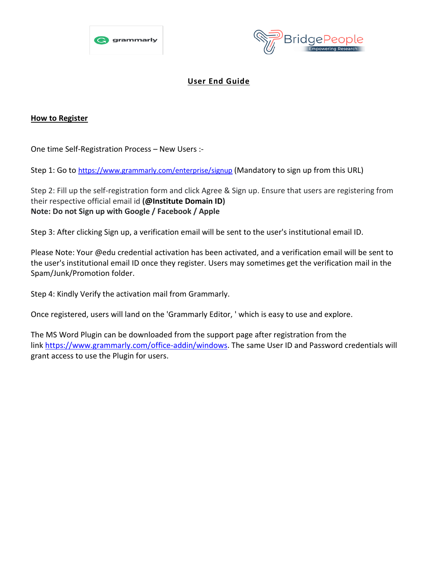



## **User End Guide**

## **How to Register**

One time Self-Registration Process – New Users :-

Step 1: Go to <https://www.grammarly.com/enterprise/signup> (Mandatory to sign up from this URL)

Step 2: Fill up the self-registration form and click Agree & Sign up. Ensure that users are registering from their respective official email id **(@Institute Domain ID) Note: Do not Sign up with Google / Facebook / Apple**

Step 3: After clicking Sign up, a verification email will be sent to the user's institutional email ID.

Please Note: Your @edu credential activation has been activated, and a verification email will be sent to the user's institutional email ID once they register. Users may sometimes get the verification mail in the Spam/Junk/Promotion folder.

Step 4: Kindly Verify the activation mail from Grammarly.

Once registered, users will land on the 'Grammarly Editor, ' which is easy to use and explore.

The MS Word Plugin can be downloaded from the support page after registration from the link [https://www.grammarly.com/office-addin/windows.](https://www.grammarly.com/office-addin/windows) The same User ID and Password credentials will grant access to use the Plugin for users.